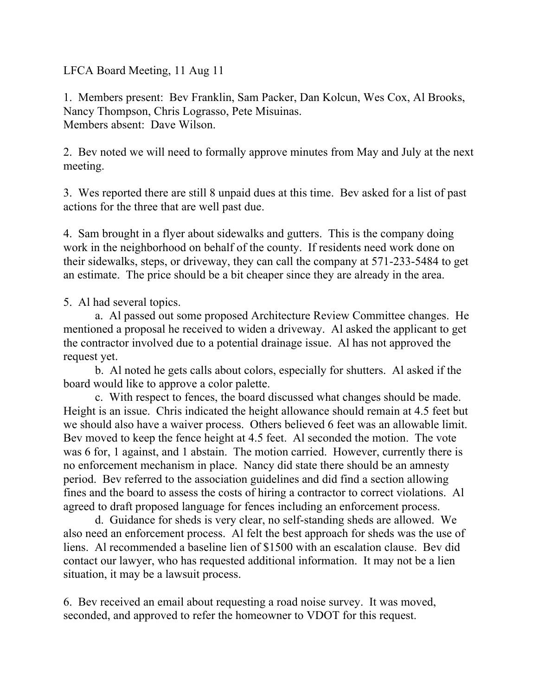LFCA Board Meeting, 11 Aug 11

1. Members present: Bev Franklin, Sam Packer, Dan Kolcun, Wes Cox, Al Brooks, Nancy Thompson, Chris Lograsso, Pete Misuinas. Members absent: Dave Wilson.

2. Bev noted we will need to formally approve minutes from May and July at the next meeting.

3. Wes reported there are still 8 unpaid dues at this time. Bev asked for a list of past actions for the three that are well past due.

4. Sam brought in a flyer about sidewalks and gutters. This is the company doing work in the neighborhood on behalf of the county. If residents need work done on their sidewalks, steps, or driveway, they can call the company at 571-233-5484 to get an estimate. The price should be a bit cheaper since they are already in the area.

5. Al had several topics.

a. Al passed out some proposed Architecture Review Committee changes. He mentioned a proposal he received to widen a driveway. Al asked the applicant to get the contractor involved due to a potential drainage issue. Al has not approved the request yet.

b. Al noted he gets calls about colors, especially for shutters. Al asked if the board would like to approve a color palette.

c. With respect to fences, the board discussed what changes should be made. Height is an issue. Chris indicated the height allowance should remain at 4.5 feet but we should also have a waiver process. Others believed 6 feet was an allowable limit. Bev moved to keep the fence height at 4.5 feet. Al seconded the motion. The vote was 6 for, 1 against, and 1 abstain. The motion carried. However, currently there is no enforcement mechanism in place. Nancy did state there should be an amnesty period. Bev referred to the association guidelines and did find a section allowing fines and the board to assess the costs of hiring a contractor to correct violations. Al agreed to draft proposed language for fences including an enforcement process.

d. Guidance for sheds is very clear, no self-standing sheds are allowed. We also need an enforcement process. Al felt the best approach for sheds was the use of liens. Al recommended a baseline lien of \$1500 with an escalation clause. Bev did contact our lawyer, who has requested additional information. It may not be a lien situation, it may be a lawsuit process.

6. Bev received an email about requesting a road noise survey. It was moved, seconded, and approved to refer the homeowner to VDOT for this request.